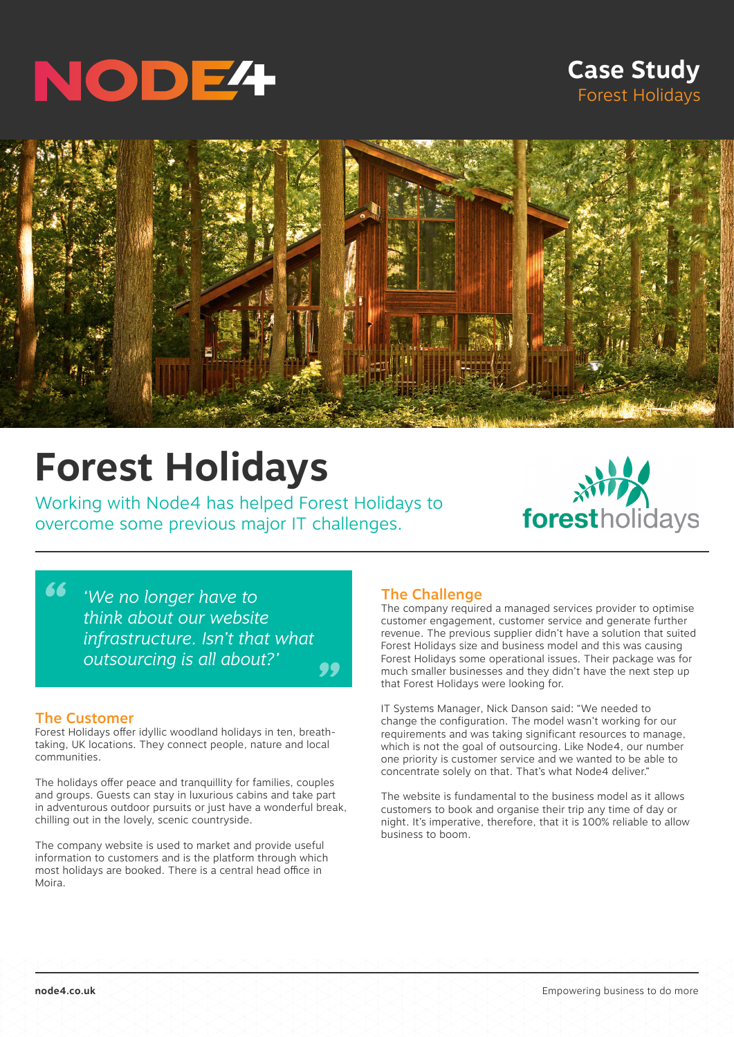

# **Case Study** Forest Holidays



# **Forest Holidays**

Working with Node4 has helped Forest Holidays to overcome some previous major IT challenges.



*" 'We no longer have to think about our website infrastructure. Isn't that what outsourcing is all about?'*

#### The Customer

*"*

Forest Holidays offer idyllic woodland holidays in ten, breathtaking, UK locations. They connect people, nature and local communities.

The holidays offer peace and tranquillity for families, couples and groups. Guests can stay in luxurious cabins and take part in adventurous outdoor pursuits or just have a wonderful break, chilling out in the lovely, scenic countryside.

The company website is used to market and provide useful information to customers and is the platform through which most holidays are booked. There is a central head office in Moira.

## The Challenge

The company required a managed services provider to optimise customer engagement, customer service and generate further revenue. The previous supplier didn't have a solution that suited Forest Holidays size and business model and this was causing Forest Holidays some operational issues. Their package was for much smaller businesses and they didn't have the next step up that Forest Holidays were looking for.

IT Systems Manager, Nick Danson said: "We needed to change the configuration. The model wasn't working for our requirements and was taking significant resources to manage, which is not the goal of outsourcing. Like Node4, our number one priority is customer service and we wanted to be able to concentrate solely on that. That's what Node4 deliver."

The website is fundamental to the business model as it allows customers to book and organise their trip any time of day or night. It's imperative, therefore, that it is 100% reliable to allow business to boom.